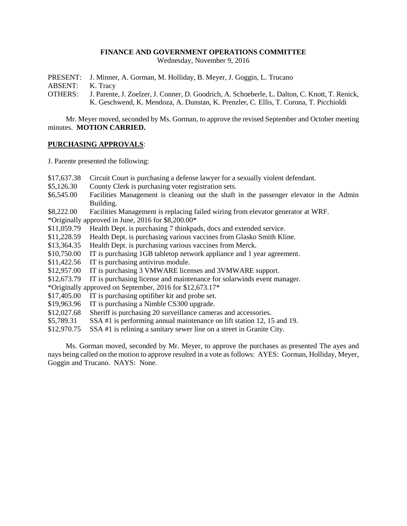### **FINANCE AND GOVERNMENT OPERATIONS COMMITTEE**

Wednesday, November 9, 2016

PRESENT: J. Minner, A. Gorman, M. Holliday, B. Meyer, J. Goggin, L. Trucano

ABSENT: K. Tracy

OTHERS: J. Parente, J. Zoelzer, J. Conner, D. Goodrich, A. Schoeberle, L. Dalton, C. Knott, T. Renick, K. Geschwend, K. Mendoza, A. Dunstan, K. Prenzler, C. Ellis, T. Corona, T. Picchioldi

Mr. Meyer moved, seconded by Ms. Gorman, to approve the revised September and October meeting minutes. **MOTION CARRIED.**

# **PURCHASING APPROVALS**:

J. Parente presented the following:

- \$17,637.38 Circuit Court is purchasing a defense lawyer for a sexually violent defendant.
- \$5,126.30 County Clerk is purchasing voter registration sets.
- \$6,545.00 Facilities Management is cleaning out the shaft in the passenger elevator in the Admin Building.
- \$8,222.00 Facilities Management is replacing failed wiring from elevator generator at WRF.
- \*Originally approved in June, 2016 for \$8,200.00\*
- \$11,059.79 Health Dept. is purchasing 7 thinkpads, docs and extended service.
- \$11,228.59 Health Dept. is purchasing various vaccines from Glasko Smith Kline.
- \$13,364.35 Health Dept. is purchasing various vaccines from Merck.
- \$10,750.00 IT is purchasing 1GB tabletop network appliance and 1 year agreement.
- \$11,422.56 IT is purchasing antivirus module.
- \$12,957.00 IT is purchasing 3 VMWARE licenses and 3VMWARE support.
- \$12,673.79 IT is purchasing license and maintenance for solarwinds event manager.
- \*Originally approved on September, 2016 for \$12,673.17\*
- \$17,405.00 IT is purchasing optifiber kit and probe set.
- \$19,963.96 IT is purchasing a Nimble CS300 upgrade.
- \$12,027.68 Sheriff is purchasing 20 surveillance cameras and accessories.
- \$5,789.31 SSA #1 is performing annual maintenance on lift station 12, 15 and 19.
- \$12,970.75 SSA #1 is relining a sanitary sewer line on a street in Granite City.

Ms. Gorman moved, seconded by Mr. Meyer, to approve the purchases as presented The ayes and nays being called on the motion to approve resulted in a vote as follows: AYES: Gorman, Holliday, Meyer, Goggin and Trucano. NAYS: None.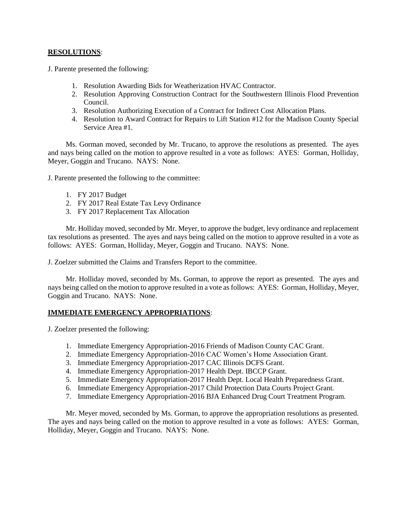# **RESOLUTIONS**:

J. Parente presented the following:

- 1. Resolution Awarding Bids for Weatherization HVAC Contractor.
- 2. Resolution Approving Construction Contract for the Southwestern Illinois Flood Prevention Council.
- 3. Resolution Authorizing Execution of a Contract for Indirect Cost Allocation Plans.
- 4. Resolution to Award Contract for Repairs to Lift Station #12 for the Madison County Special Service Area #1.

Ms. Gorman moved, seconded by Mr. Trucano, to approve the resolutions as presented. The ayes and nays being called on the motion to approve resulted in a vote as follows: AYES: Gorman, Holliday, Meyer, Goggin and Trucano. NAYS: None.

J. Parente presented the following to the committee:

- 1. FY 2017 Budget
- 2. FY 2017 Real Estate Tax Levy Ordinance
- 3. FY 2017 Replacement Tax Allocation

Mr. Holliday moved, seconded by Mr. Meyer, to approve the budget, levy ordinance and replacement tax resolutions as presented. The ayes and nays being called on the motion to approve resulted in a vote as follows: AYES: Gorman, Holliday, Meyer, Goggin and Trucano. NAYS: None.

J. Zoelzer submitted the Claims and Transfers Report to the committee.

Mr. Holliday moved, seconded by Ms. Gorman, to approve the report as presented. The ayes and nays being called on the motion to approve resulted in a vote as follows: AYES: Gorman, Holliday, Meyer, Goggin and Trucano. NAYS: None.

# **IMMEDIATE EMERGENCY APPROPRIATIONS**:

J. Zoelzer presented the following:

- 1. Immediate Emergency Appropriation-2016 Friends of Madison County CAC Grant.
- 2. Immediate Emergency Appropriation-2016 CAC Women's Home Association Grant.
- 3. Immediate Emergency Appropriation-2017 CAC Illinois DCFS Grant.
- 4. Immediate Emergency Appropriation-2017 Health Dept. IBCCP Grant.
- 5. Immediate Emergency Appropriation-2017 Health Dept. Local Health Preparedness Grant.
- 6. Immediate Emergency Appropriation-2017 Child Protection Data Courts Project Grant.
- 7. Immediate Emergency Appropriation-2016 BJA Enhanced Drug Court Treatment Program.

Mr. Meyer moved, seconded by Ms. Gorman, to approve the appropriation resolutions as presented. The ayes and nays being called on the motion to approve resulted in a vote as follows: AYES: Gorman, Holliday, Meyer, Goggin and Trucano. NAYS: None.